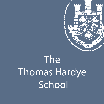

# The Thomas Hardye School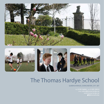



## The Thomas Hardye School

### QUEENS AVENUE | DORCHESTER | DT1 2ET

 $\bigcirc$ @thomashardye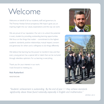## Welcome

Welcome on behalf of all our students, staff and governors, to The Thomas Hardye School prospectus. We hope it gives you an inspiring insight into our values, expectations and the way we work.

We are proud of our reputation. Our aim is to unlock the potential in every student by providing outstanding learning opportunities. We focus on the things that matter – commitment to the highest academic standards, positive relationships, mutual respect, concern and generosity for others and a willingness to do things differently.

We believe that learning has the power to transform lives and that every young person has a special skill or talent that can be nurtured through relentless optimism. For us, learning is everything.

Thank you for your interest in our work. I look forward to meeting you.

Nick Rutherford

headteacher





*"Students' achievement is outstanding. By the end of year 11 they achieve standards significantly above those found nationally, especially in English and mathematics."*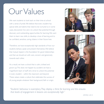## Our Values

We want students to look back on their time at school with a sense of pride. We believe that every student has special skills and talents that need to be nurtured or, in some cases, discovered. Our job is to unlock that potential through discovery and outstanding opportunities for learning. We want them to learn new skills, to develop a love of learning and to be confident, sensitive, caring citizens in their future lives.

Therefore, we have exceptionally high standards of how our students behave, speak and present themselves. We believe that mutual respect is the foundation for good relationships and that we should act with care, concern and generosity towards each other.

As a result, we have a school that is calm, civilised and grown-up. This does not happen by accident: we have a magnificent team of staff who strive to unlock the potential in every student – within the classroom and beyond. These values create a culture that celebrates the success of all young people whatever their background, faith or origin.





*"Students' behaviour is exemplary. They display a thirst for learning and this ensures that levels of engagement in lessons are exceptionally high."*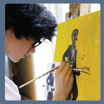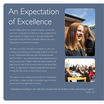# An Expectation of Excellence

We care deeply about each student's academic success. We want every young person to leave our school qualified for the right university or college course, or the right employment route with training. We have a relentless optimism that every young person can achieve and progress.

We offer a curriculum that places an emphasis on skills such as literacy and numeracy, and encourages students to think and to work independently. We look upon the period between Year 9 and Year 11 as a coherent three year programme and in the core areas such as English, maths and science students will begin work on their GCSE course on entry to the school. Year 9 offers an opportunity to develop independent learning and thinking skills that will be so vital to future success.

The majority of our students join the Sixth Form following the end of Year 11 where we offer an unrivalled range of A Level courses and an unrivalled level of success.





*"Inspirational teaching in the sixth form ensures that all students make outstanding progress." ofsted 2015*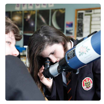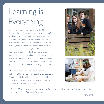# Learning is Everything

At Thomas Hardye, we are passionate about learning. It is at the heart of everything we do. Many of our staff are involved in research projects, or serve as examiners. We spend our training sessions exploring new ideas which will help students to learn better. Groups of staff work together in professional learning communities to test out new ways of learning. Since 2016 we have been accredited as a teaching school, responsible for training new entrants to the profession and leading on training and research in this part of Dorset. As an exceptional school, we take seriously our responsibilities for training the next generation of teachers and for supporting other schools.

We want our students to develop into confident, independent learners inside and outside of the classroom. That means offering additional learning opportunities through trips and visits, exchanges, sport, music, drama and other extra-curricular activities.





*"The quality of teaching is outstanding and this enables all students to learn exceptionally well and make outstanding progress."*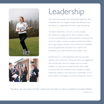



# Leadership

We need more people with exceptional leadership skills individuals who can imagine, analyse, take decisions, and are driven by a deep sense of what is right and wrong.

Therefore, leadership is one of our core activities. Our distinctive college system allows students to take on new responsibilities: to lead assemblies, to represent the school on public occasions, to greet and entertain visitors and to get actively involved in the environment, charitable work and global links. The Sixth Form is led by two presidents and a team that drive the student union.

Student Voice is a well-established body that provides students with a forum for raising new ideas and suggestions that will help the school to progress and to provide feedback on what we are doing well and what needs to improve. We are looking for every student to display leadership qualities in the classroom, in assemblies, on the sports field, on the stage or around and about the school.

*"Students are very proud of their school and are keen to take on positions of responsibility." ofsted 2015*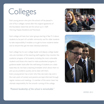# **Colleges**

Each young person who joins the school will be placed in one of four colleges named after the original signatories of the foundation deed that set the school up in 1569: Henning, Napier, Stratford and Trenchard.

Each college will have four tutor groups starting in Year 9. It allows students to be part of a smaller community and for older students to take responsibility. It enables us to get to know students better and to ensure they get the best individual attention.

Each college has its own college leader and deputy college leader who are members of the teaching staff; together they monitor the academic progress of all students, including the most vulnerable students and those who need to make accelerated progress. A guidance leader looks after the well-being of students on a daily basis; they do not have a teaching timetable which allows them to pick up any problems quickly and to deal with them. Every young person has a tutor who they see every day and is the main point of contact and parents are kept informed through regular reviews and meetings. A member of the senior team has ultimate responsibility for the smooth running of the college.

*"Pastoral leadership of the school is remarkable."*



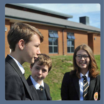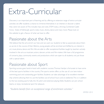## Extra-Curricular

Discovery is an important part of learning and by offering an extensive range of extra-curricular activities we offer students a chance to immerse themselves in an interest or discover a talent they were not aware of. This includes trips and visits, STEM clubs, a thriving Combined Cadet Force, Duke of Edinburgh, sports clubs, music, drama, dance and many more. Please look on the website to get a flavour of what we have to offer.

## Passionate about the Arts

We believe that the arts enrich our lives and we want our students to feel as passionate about them as we do. In the course of their lifetime, young people will be enriched and fulfilled by an interest in art, music,drama, dance and film. We are able to offer exceptional facilities taught by teachers actively involved in the arts as musicians, actors, dancers, artists and film-makers. We have a full programme of concerts, plays, community events and productions which are open to all students, not just those with a special talent.

### Passionate about Sport

Sporting success goes hand-in-hand with academic success. Thomas Hardye is fortunate to have some of the best sports facilities in the country. The sports centre offers us the use of a six lane indoor swimming pool and outstanding gym facilities. Students can take advantage of an excellent membership scheme allowing them to use the facilities out-of-school hours and at weekends. This is in addition to the two existing sports halls, the 3G pitch and extensive playing fields. Students can join school teams, or enjoy recreational sport for pleasure.

*"Students benefit from an exceptional range of enrichment activities."*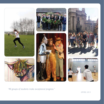

*"All groups of students make exceptional progress."*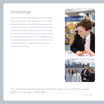### **Partnerships**

The Thomas Hardye School is part of the wider Wessex Multi-Academy Trust, which enables us to work in close partnership with other schools and share expertise and resources. We are also members of the Dorchester Area Schools Partnership that includes all our feeder schools. Our priorities for the partnership are to develop literacy and numeracy skills between 3 to 19, underpinned by a robust system of assessment. Most importantly, we want to ensure every child is reading and writing at a level appropriate to their age.





*"The school works proactively with first and middle schools to track and monitor student progress from key stage 1 to key stage 5."*